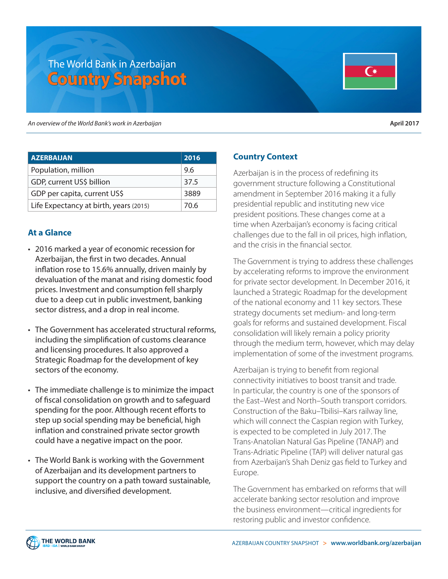# The World Bank in Azerbaijan **Country Snapshot**

*An overview of the World Bank's work in Azerbaijan* **April 2017**

| <b>AZERBAIJAN</b>                      | 2016 |
|----------------------------------------|------|
| Population, million                    | 9.6  |
| GDP, current US\$ billion              | 37.5 |
| GDP per capita, current US\$           | 3889 |
| Life Expectancy at birth, years (2015) | 70.6 |

#### **At a Glance**

- 2016 marked a year of economic recession for Azerbaijan, the first in two decades. Annual inflation rose to 15.6% annually, driven mainly by devaluation of the manat and rising domestic food prices. Investment and consumption fell sharply due to a deep cut in public investment, banking sector distress, and a drop in real income.
- The Government has accelerated structural reforms, including the simplification of customs clearance and licensing procedures. It also approved a Strategic Roadmap for the development of key sectors of the economy.
- The immediate challenge is to minimize the impact of fiscal consolidation on growth and to safeguard spending for the poor. Although recent efforts to step up social spending may be beneficial, high inflation and constrained private sector growth could have a negative impact on the poor.
- The World Bank is working with the Government of Azerbaijan and its development partners to support the country on a path toward sustainable, inclusive, and diversified development.

## **Country Context**

Azerbaijan is in the process of redefining its government structure following a Constitutional amendment in September 2016 making it a fully presidential republic and instituting new vice president positions. These changes come at a time when Azerbaijan's economy is facing critical challenges due to the fall in oil prices, high inflation, and the crisis in the financial sector.

The Government is trying to address these challenges by accelerating reforms to improve the environment for private sector development. In December 2016, it launched a Strategic Roadmap for the development of the national economy and 11 key sectors. These strategy documents set medium- and long-term goals for reforms and sustained development. Fiscal consolidation will likely remain a policy priority through the medium term, however, which may delay implementation of some of the investment programs.

Azerbaijan is trying to benefit from regional connectivity initiatives to boost transit and trade. In particular, the country is one of the sponsors of the East–West and North–South transport corridors. Construction of the Baku–Tbilisi–Kars railway line, which will connect the Caspian region with Turkey, is expected to be completed in July 2017. The Trans-Anatolian Natural Gas Pipeline (TANAP) and Trans-Adriatic Pipeline (TAP) will deliver natural gas from Azerbaijan's Shah Deniz gas field to Turkey and Europe.

The Government has embarked on reforms that will accelerate banking sector resolution and improve the business environment—critical ingredients for restoring public and investor confidence.

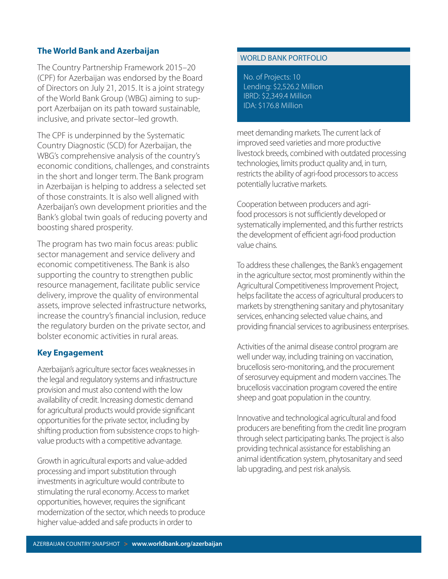#### **The World Bank and Azerbaijan**

The Country Partnership Framework 2015–20 (CPF) for Azerbaijan was endorsed by the Board of Directors on July 21, 2015. It is a joint strategy of the World Bank Group (WBG) aiming to support Azerbaijan on its path toward sustainable, inclusive, and private sector–led growth.

The CPF is underpinned by the Systematic Country Diagnostic (SCD) for Azerbaijan, the WBG's comprehensive analysis of the country's economic conditions, challenges, and constraints in the short and longer term. The Bank program in Azerbaijan is helping to address a selected set of those constraints. It is also well aligned with Azerbaijan's own development priorities and the Bank's global twin goals of reducing poverty and boosting shared prosperity.

The program has two main focus areas: public sector management and service delivery and economic competitiveness. The Bank is also supporting the country to strengthen public resource management, facilitate public service delivery, improve the quality of environmental assets, improve selected infrastructure networks, increase the country's financial inclusion, reduce the regulatory burden on the private sector, and bolster economic activities in rural areas.

### **Key Engagement**

Azerbaijan's agriculture sector faces weaknesses in the legal and regulatory systems and infrastructure provision and must also contend with the low availability of credit. Increasing domestic demand for agricultural products would provide significant opportunities for the private sector, including by shifting production from subsistence crops to highvalue products with a competitive advantage.

Growth in agricultural exports and value-added processing and import substitution through investments in agriculture would contribute to stimulating the rural economy. Access to market opportunities, however, requires the significant modernization of the sector, which needs to produce higher value-added and safe products in order to

#### WORLD BANK PORTFOLIO

No. of Projects: 10 Lending: \$2,526.2 Million IBRD: \$2,349.4 Million IDA: \$176.8 Million

meet demanding markets. The current lack of improved seed varieties and more productive livestock breeds, combined with outdated processing technologies, limits product quality and, in turn, restricts the ability of agri-food processors to access potentially lucrative markets.

Cooperation between producers and agrifood processors is not sufficiently developed or systematically implemented, and this further restricts the development of efficient agri-food production value chains.

To address these challenges, the Bank's engagement in the agriculture sector, most prominently within the Agricultural Competitiveness Improvement Project, helps facilitate the access of agricultural producers to markets by strengthening sanitary and phytosanitary services, enhancing selected value chains, and providing financial services to agribusiness enterprises.

Activities of the animal disease control program are well under way, including training on vaccination, brucellosis sero-monitoring, and the procurement of serosurvey equipment and modern vaccines. The brucellosis vaccination program covered the entire sheep and goat population in the country.

Innovative and technological agricultural and food producers are benefiting from the credit line program through select participating banks. The project is also providing technical assistance for establishing an animal identification system, phytosanitary and seed lab upgrading, and pest risk analysis.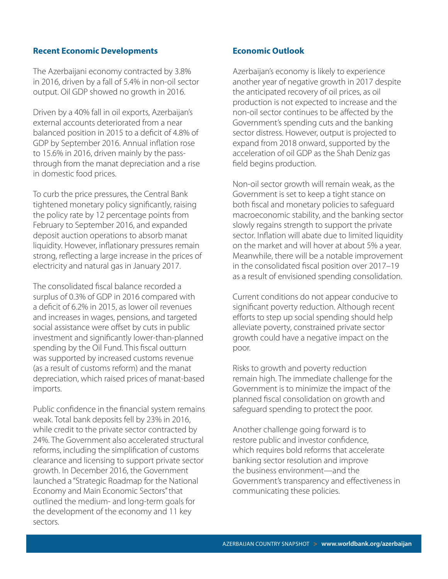#### **Recent Economic Developments**

The Azerbaijani economy contracted by 3.8% in 2016, driven by a fall of 5.4% in non-oil sector output. Oil GDP showed no growth in 2016.

Driven by a 40% fall in oil exports, Azerbaijan's external accounts deteriorated from a near balanced position in 2015 to a deficit of 4.8% of GDP by September 2016. Annual inflation rose to 15.6% in 2016, driven mainly by the passthrough from the manat depreciation and a rise in domestic food prices.

To curb the price pressures, the Central Bank tightened monetary policy significantly, raising the policy rate by 12 percentage points from February to September 2016, and expanded deposit auction operations to absorb manat liquidity. However, inflationary pressures remain strong, reflecting a large increase in the prices of electricity and natural gas in January 2017.

The consolidated fiscal balance recorded a surplus of 0.3% of GDP in 2016 compared with a deficit of 6.2% in 2015, as lower oil revenues and increases in wages, pensions, and targeted social assistance were offset by cuts in public investment and significantly lower-than-planned spending by the Oil Fund. This fiscal outturn was supported by increased customs revenue (as a result of customs reform) and the manat depreciation, which raised prices of manat-based imports.

Public confidence in the financial system remains weak. Total bank deposits fell by 23% in 2016, while credit to the private sector contracted by 24%. The Government also accelerated structural reforms, including the simplification of customs clearance and licensing to support private sector growth. In December 2016, the Government launched a "Strategic Roadmap for the National Economy and Main Economic Sectors" that outlined the medium- and long-term goals for the development of the economy and 11 key sectors.

#### **Economic Outlook**

Azerbaijan's economy is likely to experience another year of negative growth in 2017 despite the anticipated recovery of oil prices, as oil production is not expected to increase and the non-oil sector continues to be affected by the Government's spending cuts and the banking sector distress. However, output is projected to expand from 2018 onward, supported by the acceleration of oil GDP as the Shah Deniz gas field begins production.

Non-oil sector growth will remain weak, as the Government is set to keep a tight stance on both fiscal and monetary policies to safeguard macroeconomic stability, and the banking sector slowly regains strength to support the private sector. Inflation will abate due to limited liquidity on the market and will hover at about 5% a year. Meanwhile, there will be a notable improvement in the consolidated fiscal position over 2017–19 as a result of envisioned spending consolidation.

Current conditions do not appear conducive to significant poverty reduction. Although recent efforts to step up social spending should help alleviate poverty, constrained private sector growth could have a negative impact on the poor.

Risks to growth and poverty reduction remain high. The immediate challenge for the Government is to minimize the impact of the planned fiscal consolidation on growth and safeguard spending to protect the poor.

Another challenge going forward is to restore public and investor confidence, which requires bold reforms that accelerate banking sector resolution and improve the business environment—and the Government's transparency and effectiveness in communicating these policies.